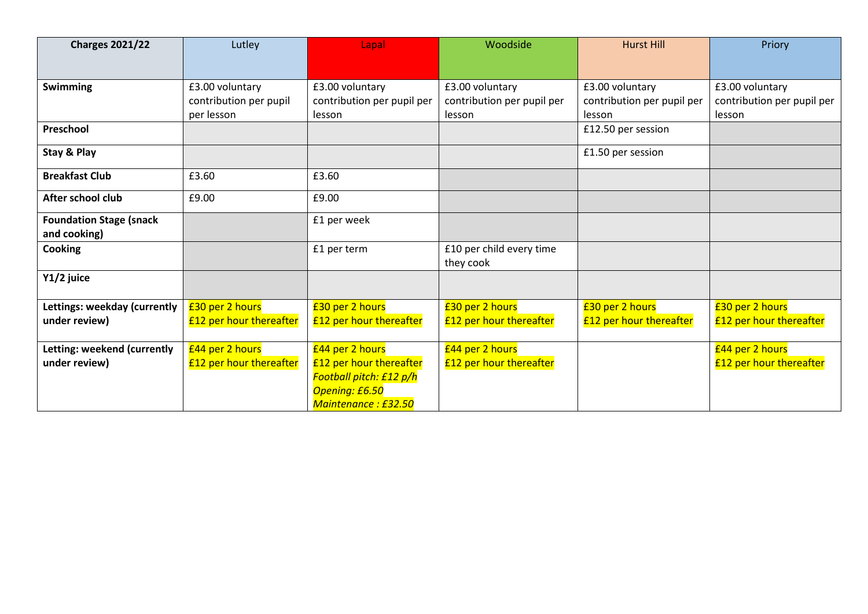| <b>Charges 2021/22</b>         | Lutley                         | Lapal                          | Woodside                       | <b>Hurst Hill</b>          | Priory                         |
|--------------------------------|--------------------------------|--------------------------------|--------------------------------|----------------------------|--------------------------------|
|                                |                                |                                |                                |                            |                                |
|                                |                                |                                |                                |                            |                                |
| <b>Swimming</b>                | £3.00 voluntary                | £3.00 voluntary                | £3.00 voluntary                | £3.00 voluntary            | £3.00 voluntary                |
|                                | contribution per pupil         | contribution per pupil per     | contribution per pupil per     | contribution per pupil per | contribution per pupil per     |
|                                | per lesson                     | lesson                         | lesson                         | lesson                     | lesson                         |
| Preschool                      |                                |                                |                                | £12.50 per session         |                                |
| Stay & Play                    |                                |                                |                                | £1.50 per session          |                                |
| <b>Breakfast Club</b>          | £3.60                          | £3.60                          |                                |                            |                                |
| After school club              | £9.00                          | £9.00                          |                                |                            |                                |
| <b>Foundation Stage (snack</b> |                                | £1 per week                    |                                |                            |                                |
| and cooking)                   |                                |                                |                                |                            |                                |
| <b>Cooking</b>                 |                                | £1 per term                    | £10 per child every time       |                            |                                |
|                                |                                |                                | they cook                      |                            |                                |
| Y1/2 juice                     |                                |                                |                                |                            |                                |
| Lettings: weekday (currently   | £30 per 2 hours                | £30 per 2 hours                | £30 per 2 hours                | £30 per 2 hours            | £30 per 2 hours                |
| under review)                  | <b>£12 per hour thereafter</b> | <b>£12 per hour thereafter</b> | <b>£12 per hour thereafter</b> | £12 per hour thereafter    | <b>£12 per hour thereafter</b> |
|                                |                                |                                |                                |                            |                                |
| Letting: weekend (currently    | £44 per 2 hours                | £44 per 2 hours                | £44 per 2 hours                |                            | £44 per 2 hours                |
| under review)                  | <b>£12 per hour thereafter</b> | <b>£12 per hour thereafter</b> | <b>£12 per hour thereafter</b> |                            | <b>£12 per hour thereafter</b> |
|                                |                                | Football pitch: £12 p/h        |                                |                            |                                |
|                                |                                | <b>Opening: £6.50</b>          |                                |                            |                                |
|                                |                                | Maintenance: £32.50            |                                |                            |                                |